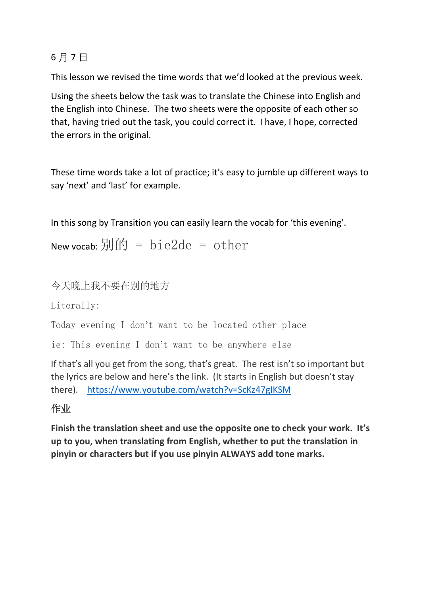## 6 月 7 日

This lesson we revised the time words that we'd looked at the previous week.

Using the sheets below the task was to translate the Chinese into English and the English into Chinese. The two sheets were the opposite of each other so that, having tried out the task, you could correct it. I have, I hope, corrected the errors in the original.

These time words take a lot of practice; it's easy to jumble up different ways to say 'next' and 'last' for example.

In this song by Transition you can easily learn the vocab for 'this evening'.

New vocab:  $\frac{\pi}{2}$   $\frac{\pi}{2}$  = bie2de = other

今天晚上我不要在别的地方

Literally:

Today evening I don't want to be located other place

ie: This evening I don't want to be anywhere else

If that's all you get from the song, that's great. The rest isn't so important but the lyrics are below and here's the link. (It starts in English but doesn't stay there). <https://www.youtube.com/watch?v=ScKz47gIKSM>

## 作业

**Finish the translation sheet and use the opposite one to check your work. It's up to you, when translating from English, whether to put the translation in pinyin or characters but if you use pinyin ALWAYS add tone marks.**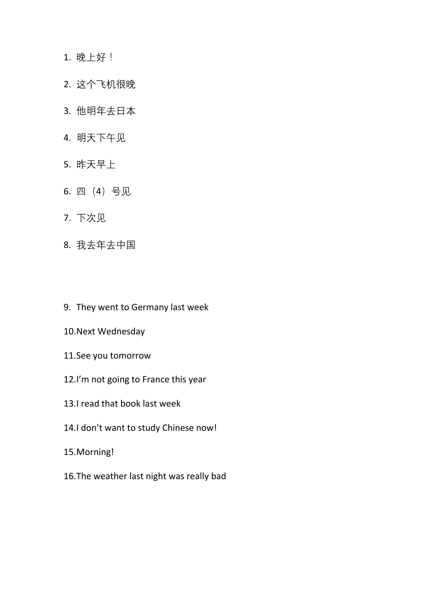## 1. 晚上好!

- 2. 这个飞机很晚
- 3. 他明年去日本
- 4. 明天下午见
- 5. 昨天早上
- 6. 四(4)号见
- 7. 下次见
- 8. 我去年去中国
- 9. They went to Germany last week
- 10.Next Wednesday
- 11.See you tomorrow
- 12.I'm not going to France this year
- 13.I read that book last week
- 14.I don't want to study Chinese now!
- 15.Morning!
- 16.The weather last night was really bad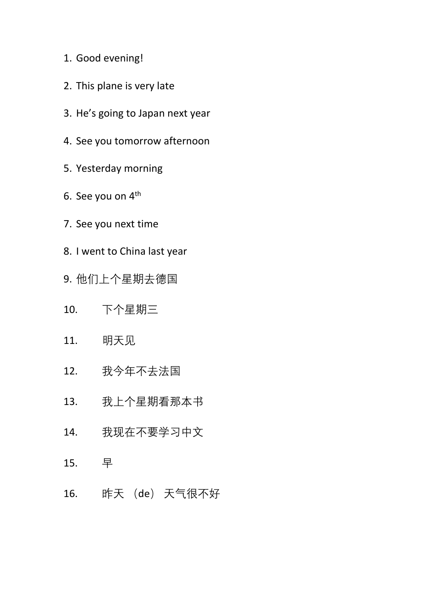- 1. Good evening!
- 2. This plane is very late
- 3. He's going to Japan next year
- 4. See you tomorrow afternoon
- 5. Yesterday morning
- 6. See you on 4th
- 7. See you next time
- 8. I went to China last year
- 9. 他们上个星期去德国
- 10. 下个星期三
- 11. 明天见
- 12. 我今年不去法国
- 13. 我上个星期看那本书
- 14. 我现在不要学习中文
- 15. 早
- 16. 昨天 (de) 天气很不好